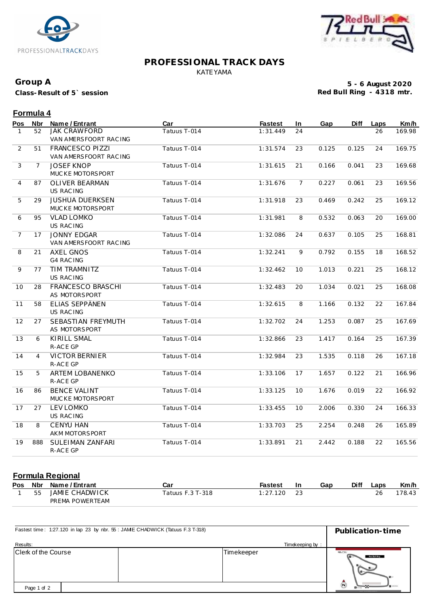



## **PROFESSIONAL TRACK DAYS** KATEYAMA

#### **Group A**

**Class-Result of 5` session**

**5 - 6 August 2020 Red Bull Ring - 4318 mtr.**

# **Formula 4**

| Pos            | <b>Nbr</b>     | Name / Entrant                                  | Car          | <b>Fastest</b> | In              | Gap   | <b>Diff</b> | Laps | Km/h   |
|----------------|----------------|-------------------------------------------------|--------------|----------------|-----------------|-------|-------------|------|--------|
| 1              | 52             | <b>JAK CRAWFORD</b><br>VAN AMERSFOORT RACING    | Tatuus T-014 | 1:31.449       | 24              |       |             | 26   | 169.98 |
| $\overline{2}$ | 51             | <b>FRANCESCO PIZZI</b><br>VAN AMERSFOORT RACING | Tatuus T-014 | 1:31.574       | 23              | 0.125 | 0.125       | 24   | 169.75 |
| 3              | $\overline{7}$ | <b>JOSEF KNOP</b><br>MUCKE MOTORSPORT           | Tatuus T-014 | 1:31.615       | 21              | 0.166 | 0.041       | 23   | 169.68 |
| 4              | 87             | <b>OLIVER BEARMAN</b><br><b>US RACING</b>       | Tatuus T-014 | 1:31.676       | $7\overline{ }$ | 0.227 | 0.061       | 23   | 169.56 |
| 5              | 29             | <b>JUSHUA DUERKSEN</b><br>MUCKE MOTORSPORT      | Tatuus T-014 | 1:31.918       | 23              | 0.469 | 0.242       | 25   | 169.12 |
| 6              | 95             | <b>VLAD LOMKO</b><br>US RAC ING                 | Tatuus T-014 | 1:31.981       | 8               | 0.532 | 0.063       | 20   | 169.00 |
| $\overline{7}$ | 17             | <b>JONNY EDGAR</b><br>VAN AMERSFOORT RACING     | Tatuus T-014 | 1:32.086       | 24              | 0.637 | 0.105       | 25   | 168.81 |
| 8              | 21             | <b>AXEL GNOS</b><br><b>G4 RAC ING</b>           | Tatuus T-014 | 1:32.241       | 9               | 0.792 | 0.155       | 18   | 168.52 |
| 9              | 77             | TIM TRAMNITZ<br>US RAC ING                      | Tatuus T-014 | 1:32.462       | 10              | 1.013 | 0.221       | 25   | 168.12 |
| 10             | 28             | FRANCESCO BRASCHI<br>AS MOTORSPORT              | Tatuus T-014 | 1:32.483       | 20              | 1.034 | 0.021       | 25   | 168.08 |
| 11             | 58             | <b>ELIAS SEPPÄNEN</b><br><b>US RACING</b>       | Tatuus T-014 | 1:32.615       | 8               | 1.166 | 0.132       | 22   | 167.84 |
| 12             | 27             | SEBASTIAN FREYMUTH<br>AS MOTORSPORT             | Tatuus T-014 | 1:32.702       | 24              | 1.253 | 0.087       | 25   | 167.69 |
| 13             | 6              | <b>KIRILL SMAL</b><br>R-ACE GP                  | Tatuus T-014 | 1:32.866       | 23              | 1.417 | 0.164       | 25   | 167.39 |
| 14             | $\overline{4}$ | <b>VICTOR BERNIER</b><br>R-ACE GP               | Tatuus T-014 | 1:32.984       | 23              | 1.535 | 0.118       | 26   | 167.18 |
| 15             | 5              | <b>ARTEM LOBANENKO</b><br>R-ACE GP              | Tatuus T-014 | 1:33.106       | 17              | 1.657 | 0.122       | 21   | 166.96 |
| 16             | 86             | <b>BENCE VALINT</b><br>MUCKE MOTORSPORT         | Tatuus T-014 | 1:33.125       | 10              | 1.676 | 0.019       | 22   | 166.92 |
| 17             | 27             | <b>LEV LOMKO</b><br>US RAC ING                  | Tatuus T-014 | 1:33.455       | 10              | 2.006 | 0.330       | 24   | 166.33 |
| 18             | 8              | <b>CENYU HAN</b><br>AKM MOTORSPORT              | Tatuus T-014 | 1:33.703       | 25              | 2.254 | 0.248       | 26   | 165.89 |
| 19             | 888            | SULEIMAN ZANFARI<br>R-ACE GP                    | Tatuus T-014 | 1:33.891       | 21              | 2.442 | 0.188       | 22   | 165.56 |

# **Formula Regional**

|    | Pos Nbr Name/Entrant | Car                | Fastest  | In | Gap | <b>Diff</b> | ∟aps | Km/h  |
|----|----------------------|--------------------|----------|----|-----|-------------|------|-------|
| 55 | JAMIE CHADWICK       | Tatuus F.3 T-318 . | 1:27.120 |    |     |             |      | 78.43 |
|    | PREMA POWERTEAM      |                    |          |    |     |             |      |       |

| Fastest time: 1:27.120 in lap 23 by nbr. 55 : JAME CHADWICK (Tatuus F.3 T-318) | Publication-time |                                             |  |
|--------------------------------------------------------------------------------|------------------|---------------------------------------------|--|
| Results:                                                                       | Timekeeping by:  |                                             |  |
| Clerk of the Course                                                            | Timekeeper       | C<br>Red Bull Ring<br>$B -$<br>$\mathbf{H}$ |  |
| Page 1 of 2                                                                    |                  | $\odot$<br><b>B</b> ureau                   |  |